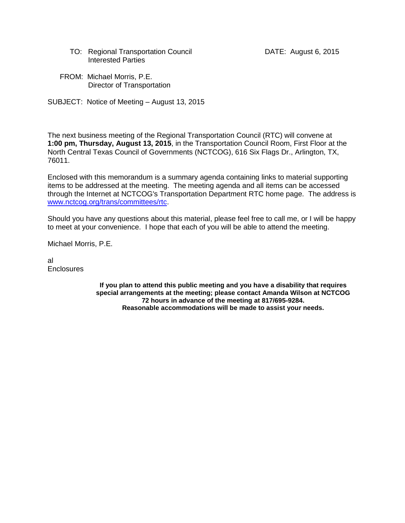- TO: Regional Transportation Council **DATE:** August 6, 2015 Interested Parties
- FROM: Michael Morris, P.E. Director of Transportation

SUBJECT: Notice of Meeting – August 13, 2015

The next business meeting of the Regional Transportation Council (RTC) will convene at **1:00 pm, Thursday, August 13, 2015**, in the Transportation Council Room, First Floor at the North Central Texas Council of Governments (NCTCOG), 616 Six Flags Dr., Arlington, TX, 76011.

Enclosed with this memorandum is a summary agenda containing links to material supporting items to be addressed at the meeting. The meeting agenda and all items can be accessed through the Internet at NCTCOG's Transportation Department RTC home page. The address is [www.nctcog.org/trans/committees/rtc.](http://www.nctcog.org/trans/committees/rtc)

Should you have any questions about this material, please feel free to call me, or I will be happy to meet at your convenience. I hope that each of you will be able to attend the meeting.

Michael Morris, P.E.

al **Enclosures** 

> **If you plan to attend this public meeting and you have a disability that requires special arrangements at the meeting; please contact Amanda Wilson at NCTCOG 72 hours in advance of the meeting at 817/695-9284. Reasonable accommodations will be made to assist your needs.**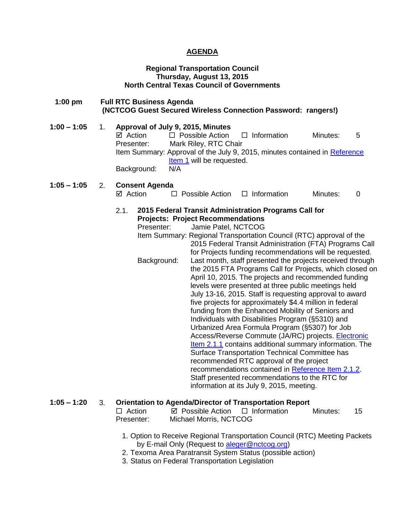## **AGENDA**

## **Regional Transportation Council Thursday, August 13, 2015 North Central Texas Council of Governments**

 **1:00 pm Full RTC Business Agenda (NCTCOG Guest Secured Wireless Connection Password: rangers!)**

**1:00 – 1:05** 1. **Approval of July 9, 2015, Minutes**  $\boxtimes$  Action  $\Box$  Possible Action  $\Box$  Information Minutes: 5 Presenter: Mark Riley, RTC Chair Item Summary: Approval of the July 9, 2015, minutes contained in Reference [Item 1](http://www.nctcog.org/trans/committees/rtc/2015/08Aug/Ref.Itm_1.rtc081315.pdf) will be requested. Background: N/A

**1:05 – 1:05** 2. **Consent Agenda**   $\boxtimes$  Action  $\Box$  Possible Action  $\Box$  Information Minutes: 0

### 2.1. **2015 Federal Transit Administration Programs Call for Projects: Project Recommendations**

Presenter: Jamie Patel, NCTCOG

Item Summary: Regional Transportation Council (RTC) approval of the 2015 Federal Transit Administration (FTA) Programs Call for Projects funding recommendations will be requested. Background: Last month, staff presented the projects received through the 2015 FTA Programs Call for Projects, which closed on April 10, 2015. The projects and recommended funding levels were presented at three public meetings held July 13-16, 2015. Staff is requesting approval to award five projects for approximately \$4.4 million in federal funding from the Enhanced Mobility of Seniors and Individuals with Disabilities Program (§5310) and Urbanized Area Formula Program (§5307) for Job Access/Reverse Commute (JA/RC) projects. [Electronic](http://www.nctcog.org/trans/committees/rtc/2015/08Aug/Ref.Itm_2.1.1.rtc081315.pdf)  [Item 2.1.1](http://www.nctcog.org/trans/committees/rtc/2015/08Aug/Ref.Itm_2.1.1.rtc081315.pdf) contains additional summary information. The Surface Transportation Technical Committee has recommended RTC approval of the project recommendations contained in [Reference Item 2.1.2.](http://www.nctcog.org/trans/committees/rtc/2015/08Aug/Ref.Itm_2.1.2.rtc081315.pdf) Staff presented recommendations to the RTC for information at its July 9, 2015, meeting.

## **1:05 – 1:20** 3. **Orientation to Agenda/Director of Transportation Report**

| $\Box$ Action | $\boxtimes$ Possible Action $\Box$ Information | Minutes: | - 15 |
|---------------|------------------------------------------------|----------|------|
| Presenter:    | Michael Morris, NCTCOG                         |          |      |

- 1. Option to Receive Regional Transportation Council (RTC) Meeting Packets by E-mail Only (Request to [aleger@nctcog.org\)](mailto:aleger@nctcog.org)
- 2. Texoma Area Paratransit System Status (possible action)
- 3. Status on Federal Transportation Legislation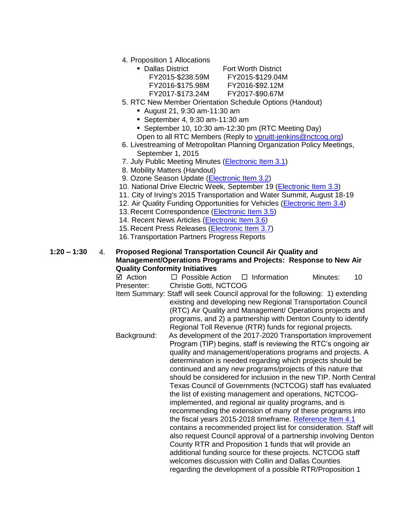4. Proposition 1 Allocations

| Dallas District  |
|------------------|
| FY2015-\$238.59M |
| FY2016-\$175.98M |
| FY2017-\$173.24M |

**Fort Worth District** 

 FY2015-\$238.59M FY2015-\$129.04M FY2016-\$92.12M

FY2017-\$90.67M

- 5. RTC New Member Orientation Schedule Options (Handout)
	- August 21, 9:30 am-11:30 am
	- September 4, 9:30 am-11:30 am
	- September 10, 10:30 am-12:30 pm (RTC Meeting Day)
	- Open to all RTC Members (Reply to [vpruitt-jenkins@nctcog.org\)](mailto:vpruitt-jenkins@nctcog.org)
- 6. Livestreaming of Metropolitan Planning Organization Policy Meetings, September 1, 2015
- 7. July Public Meeting Minutes [\(Electronic Item 3.1\)](http://www.nctcog.org/trans/committees/rtc/2015/08Aug/Ref.Itm_3.1.rtc081315.pdf)
- 8. Mobility Matters (Handout)
- 9. Ozone Season Update [\(Electronic Item 3.2\)](http://www.nctcog.org/trans/committees/rtc/2015/08Aug/Ref.Itm_3.2.rtc081315.pdf)
- 10. National Drive Electric Week, September 19 [\(Electronic Item 3.3\)](http://www.dfwcleancities.org/projects/energy/barrier/national_drive_electric_week.asp)
- 11. City of Irving's 2015 Transportation and Water Summit, August 18-19
- 12. Air Quality Funding Opportunities for Vehicles [\(Electronic Item 3.4\)](http://www.nctcog.org/trans/air/vehicles/investments/funding/VehicleFundingOpportunities.asp)
- 13. Recent Correspondence [\(Electronic Item 3.5\)](http://www.nctcog.org/trans/committees/rtc/2015/08Aug/Ref.Itm_3.5.rtc081315.pdf)
- 14. Recent News Articles [\(Electronic Item 3.6\)](http://www.nctcog.org/trans/committees/rtc/2015/08Aug/Ref.Itm_3.6.rtc081315.pdf)
- 15. Recent Press Releases [\(Electronic Item 3.7\)](http://www.nctcog.org/trans/committees/rtc/2015/08Aug/Ref.Itm_3.7.rtc081315.pdf)
- 16. Transportation Partners Progress Reports

# **1:20 – 1:30** 4. **Proposed Regional Transportation Council Air Quality and Management/Operations Programs and Projects: Response to New Air Quality Conformity Initiatives**

 $\boxtimes$  Action  $\Box$  Possible Action  $\Box$  Information Minutes: 10 Presenter: Christie Gotti, NCTCOG

Item Summary: Staff will seek Council approval for the following: 1) extending existing and developing new Regional Transportation Council (RTC) Air Quality and Management/ Operations projects and programs, and 2) a partnership with Denton County to identify Regional Toll Revenue (RTR) funds for regional projects. Background: As development of the 2017-2020 Transportation Improvement Program (TIP) begins, staff is reviewing the RTC's ongoing air quality and management/operations programs and projects. A

determination is needed regarding which projects should be continued and any new programs/projects of this nature that should be considered for inclusion in the new TIP. North Central Texas Council of Governments (NCTCOG) staff has evaluated the list of existing management and operations, NCTCOGimplemented, and regional air quality programs, and is recommending the extension of many of these programs into the fiscal years 2015-2018 timeframe. [Reference Item 4.1](http://www.nctcog.org/trans/committees/rtc/2015/08Aug/Ref.Itm_4.1.rtc081315.pdf) contains a recommended project list for consideration. Staff will also request Council approval of a partnership involving Denton County RTR and Proposition 1 funds that will provide an additional funding source for these projects. NCTCOG staff welcomes discussion with Collin and Dallas Counties

regarding the development of a possible RTR/Proposition 1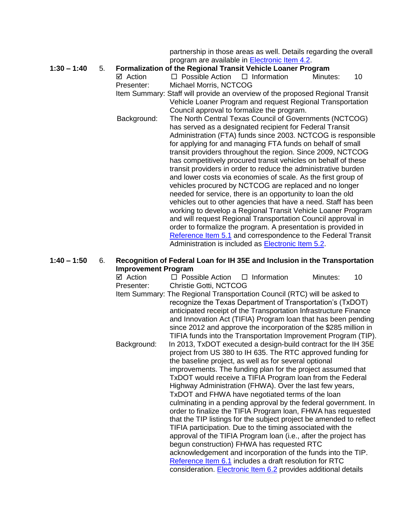partnership in those areas as well. Details regarding the overall program are available in [Electronic Item 4.2.](http://www.nctcog.org/trans/committees/rtc/2015/08Aug/Ref.Itm_4.2.rtc081315.pdf)

### **1:30 – 1:40** 5. **Formalization of the Regional Transit Vehicle Loaner Program**

- $\boxtimes$  Action  $\Box$  Possible Action  $\Box$  Information Minutes: 10 Presenter: Michael Morris, NCTCOG Item Summary: Staff will provide an overview of the proposed Regional Transit Vehicle Loaner Program and request Regional Transportation
- Council approval to formalize the program. Background: The North Central Texas Council of Governments (NCTCOG) has served as a designated recipient for Federal Transit Administration (FTA) funds since 2003. NCTCOG is responsible for applying for and managing FTA funds on behalf of small transit providers throughout the region. Since 2009, NCTCOG has competitively procured transit vehicles on behalf of these transit providers in order to reduce the administrative burden and lower costs via economies of scale. As the first group of vehicles procured by NCTCOG are replaced and no longer needed for service, there is an opportunity to loan the old vehicles out to other agencies that have a need. Staff has been working to develop a Regional Transit Vehicle Loaner Program and will request Regional Transportation Council approval in order to formalize the program. A presentation is provided in [Reference Item 5.1](http://www.nctcog.org/trans/committees/rtc/2015/08Aug/Ref.Itm_5.1.rtc081315.pdf) and correspondence to the Federal Transit Administration is included as [Electronic Item 5.2.](http://www.nctcog.org/trans/committees/rtc/2015/08Aug/Ref.Itm_5.2.rtc081315.pdf)

# **1:40 – 1:50** 6. **Recognition of Federal Loan for IH 35E and Inclusion in the Transportation Improvement Program**

| ⊠ Action                                                   | $\Box$ Possible Action $\Box$ Information                                                                   |  |  | Minutes: | 10 |  |
|------------------------------------------------------------|-------------------------------------------------------------------------------------------------------------|--|--|----------|----|--|
| Presenter:                                                 | Christie Gotti, NCTCOG                                                                                      |  |  |          |    |  |
|                                                            | Item Summary: The Regional Transportation Council (RTC) will be asked to                                    |  |  |          |    |  |
| recognize the Texas Department of Transportation's (TxDOT) |                                                                                                             |  |  |          |    |  |
|                                                            | anticipated receipt of the Transportation Infrastructure Finance                                            |  |  |          |    |  |
|                                                            | and Innovation Act (TIFIA) Program loan that has been pending                                               |  |  |          |    |  |
|                                                            | since 2012 and approve the incorporation of the \$285 million in                                            |  |  |          |    |  |
|                                                            | TIFIA funds into the Transportation Improvement Program (TIP).                                              |  |  |          |    |  |
| Background:                                                | In 2013, TxDOT executed a design-build contract for the IH 35E                                              |  |  |          |    |  |
|                                                            | project from US 380 to IH 635. The RTC approved funding for                                                 |  |  |          |    |  |
|                                                            | the baseline project, as well as for several optional                                                       |  |  |          |    |  |
|                                                            | improvements. The funding plan for the project assumed that                                                 |  |  |          |    |  |
|                                                            | TxDOT would receive a TIFIA Program loan from the Federal                                                   |  |  |          |    |  |
|                                                            | Highway Administration (FHWA). Over the last few years,<br>TxDOT and FHWA have negotiated terms of the loan |  |  |          |    |  |
|                                                            | culminating in a pending approval by the federal government. In                                             |  |  |          |    |  |
|                                                            | order to finalize the TIFIA Program loan, FHWA has requested                                                |  |  |          |    |  |
|                                                            | that the TIP listings for the subject project be amended to reflect                                         |  |  |          |    |  |
|                                                            | TIFIA participation. Due to the timing associated with the                                                  |  |  |          |    |  |
|                                                            | approval of the TIFIA Program loan (i.e., after the project has                                             |  |  |          |    |  |
|                                                            | begun construction) FHWA has requested RTC                                                                  |  |  |          |    |  |
|                                                            | acknowledgement and incorporation of the funds into the TIP.                                                |  |  |          |    |  |
|                                                            | Reference Item 6.1 includes a draft resolution for RTC                                                      |  |  |          |    |  |
|                                                            | consideration. Electronic Item 6.2 provides additional details                                              |  |  |          |    |  |
|                                                            |                                                                                                             |  |  |          |    |  |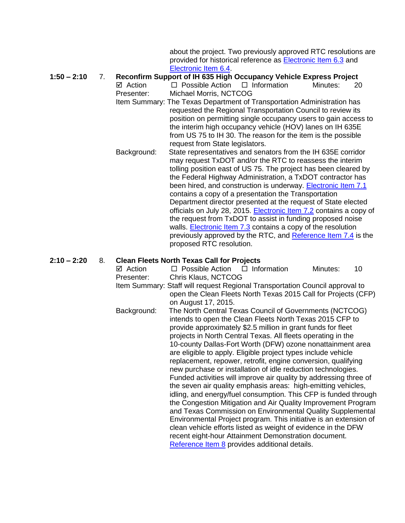about the project. Two previously approved RTC resolutions are provided for historical reference as [Electronic Item 6.3](http://www.nctcog.org/trans/committees/rtc/2015/08Aug/Ref.Itm_6.3.rtc081315.pdf) and [Electronic Item 6.4.](http://www.nctcog.org/trans/committees/rtc/2015/08Aug/Ref.Itm_6.4.rtc081315.pdf)

**1:50 – 2:10** 7. **Reconfirm Support of IH 635 High Occupancy Vehicle Express Project**   $\boxtimes$  Action  $\Box$  Possible Action  $\Box$  Information Minutes: 20

Presenter: Michael Morris, NCTCOG

- Item Summary: The Texas Department of Transportation Administration has requested the Regional Transportation Council to review its position on permitting single occupancy users to gain access to the interim high occupancy vehicle (HOV) lanes on IH 635E from US 75 to IH 30. The reason for the item is the possible request from State legislators.
- Background: State representatives and senators from the IH 635E corridor may request TxDOT and/or the RTC to reassess the interim tolling position east of US 75. The project has been cleared by the Federal Highway Administration, a TxDOT contractor has been hired, and construction is underway. [Electronic Item 7.1](http://www.nctcog.org/trans/committees/rtc/2015/08Aug/Ref.Itm_7.1.rtc081315.pdf) contains a copy of a presentation the Transportation Department director presented at the request of State elected officials on July 28, 2015. [Electronic Item 7.2](http://www.nctcog.org/trans/committees/rtc/2015/08Aug/Ref.Itm_7.2.rtc081315.pdf) contains a copy of the request from TxDOT to assist in funding proposed noise walls. **Electronic Item 7.3** contains a copy of the resolution previously approved by the RTC, and [Reference Item 7.4](http://www.nctcog.org/trans/committees/rtc/2015/08Aug/Ref.Itm_7.4.rtc081315.pdf) is the proposed RTC resolution.

## **2:10 – 2:20** 8. **Clean Fleets North Texas Call for Projects**

| ⊠ Action                                                                     | $\Box$ Possible Action $\Box$ Information                                                                                        |                                                            | Minutes: | 10 |  |  |
|------------------------------------------------------------------------------|----------------------------------------------------------------------------------------------------------------------------------|------------------------------------------------------------|----------|----|--|--|
| Presenter:                                                                   | Chris Klaus, NCTCOG                                                                                                              |                                                            |          |    |  |  |
| Item Summary: Staff will request Regional Transportation Council approval to |                                                                                                                                  |                                                            |          |    |  |  |
|                                                                              | open the Clean Fleets North Texas 2015 Call for Projects (CFP)                                                                   |                                                            |          |    |  |  |
|                                                                              | on August 17, 2015.                                                                                                              |                                                            |          |    |  |  |
| Background:                                                                  | The North Central Texas Council of Governments (NCTCOG)                                                                          |                                                            |          |    |  |  |
|                                                                              | intends to open the Clean Fleets North Texas 2015 CFP to                                                                         |                                                            |          |    |  |  |
|                                                                              | provide approximately \$2.5 million in grant funds for fleet                                                                     |                                                            |          |    |  |  |
|                                                                              | projects in North Central Texas. All fleets operating in the                                                                     |                                                            |          |    |  |  |
|                                                                              |                                                                                                                                  | 10-county Dallas-Fort Worth (DFW) ozone nonattainment area |          |    |  |  |
|                                                                              | are eligible to apply. Eligible project types include vehicle                                                                    |                                                            |          |    |  |  |
|                                                                              | replacement, repower, retrofit, engine conversion, qualifying                                                                    |                                                            |          |    |  |  |
|                                                                              | new purchase or installation of idle reduction technologies.                                                                     |                                                            |          |    |  |  |
|                                                                              | Funded activities will improve air quality by addressing three of                                                                |                                                            |          |    |  |  |
|                                                                              | the seven air quality emphasis areas: high-emitting vehicles,<br>idling, and energy/fuel consumption. This CFP is funded through |                                                            |          |    |  |  |
|                                                                              | the Congestion Mitigation and Air Quality Improvement Program                                                                    |                                                            |          |    |  |  |
|                                                                              | and Texas Commission on Environmental Quality Supplemental                                                                       |                                                            |          |    |  |  |
|                                                                              | Environmental Project program. This initiative is an extension of                                                                |                                                            |          |    |  |  |
|                                                                              | clean vehicle efforts listed as weight of evidence in the DFW                                                                    |                                                            |          |    |  |  |
|                                                                              | recent eight-hour Attainment Demonstration document.                                                                             |                                                            |          |    |  |  |
|                                                                              | Reference Item 8 provides additional details.                                                                                    |                                                            |          |    |  |  |
|                                                                              |                                                                                                                                  |                                                            |          |    |  |  |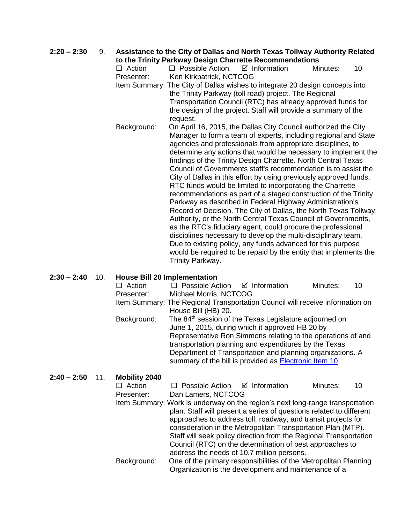**2:20 – 2:30** 9. **Assistance to the City of Dallas and North Texas Tollway Authority Related to the Trinity Parkway Design Charrette Recommendations**   $\Box$  Action  $\Box$  Possible Action  $\Box$  Information Minutes: 10 Presenter: Ken Kirkpatrick, NCTCOG Item Summary: The City of Dallas wishes to integrate 20 design concepts into the Trinity Parkway (toll road) project. The Regional Transportation Council (RTC) has already approved funds for the design of the project. Staff will provide a summary of the request. Background: On April 16, 2015, the Dallas City Council authorized the City Manager to form a team of experts, including regional and State agencies and professionals from appropriate disciplines, to determine any actions that would be necessary to implement the findings of the Trinity Design Charrette. North Central Texas Council of Governments staff's recommendation is to assist the City of Dallas in this effort by using previously approved funds. RTC funds would be limited to incorporating the Charrette recommendations as part of a staged construction of the Trinity Parkway as described in Federal Highway Administration's Record of Decision. The City of Dallas, the North Texas Tollway Authority, or the North Central Texas Council of Governments, as the RTC's fiduciary agent, could procure the professional disciplines necessary to develop the multi-disciplinary team. Due to existing policy, any funds advanced for this purpose would be required to be repaid by the entity that implements the Trinity Parkway.

# **2:30 – 2:40** 10. **House Bill 20 Implementation**

| $\Box$ Action | $\Box$ Possible Action $\Box$ Information                                     |  | Minutes: | 10 |  |
|---------------|-------------------------------------------------------------------------------|--|----------|----|--|
| Presenter:    | Michael Morris, NCTCOG                                                        |  |          |    |  |
|               | Item Summary: The Regional Transportation Council will receive information on |  |          |    |  |
|               | House Bill (HB) 20.                                                           |  |          |    |  |
| Background:   | The 84 <sup>th</sup> session of the Texas Legislature adjourned on            |  |          |    |  |
|               | June 1, 2015, during which it approved HB 20 by                               |  |          |    |  |
|               | Representative Ron Simmons relating to the operations of and                  |  |          |    |  |
|               | transportation planning and expenditures by the Texas                         |  |          |    |  |
|               | Department of Transportation and planning organizations. A                    |  |          |    |  |
|               | summary of the bill is provided as Electronic Item 10.                        |  |          |    |  |
|               |                                                                               |  |          |    |  |

## **2:40 – 2:50** 11. **Mobility 2040**

| INDU LINES    |                                                                               |  |  |          |    |
|---------------|-------------------------------------------------------------------------------|--|--|----------|----|
| $\Box$ Action | $\Box$ Possible Action $\Box$ Information                                     |  |  | Minutes: | 10 |
| Presenter:    | Dan Lamers, NCTCOG                                                            |  |  |          |    |
|               | Item Summary: Work is underway on the region's next long-range transportation |  |  |          |    |
|               | plan. Staff will present a series of questions related to different           |  |  |          |    |
|               | approaches to address toll, roadway, and transit projects for                 |  |  |          |    |
|               | consideration in the Metropolitan Transportation Plan (MTP).                  |  |  |          |    |
|               | Staff will seek policy direction from the Regional Transportation             |  |  |          |    |
|               | Council (RTC) on the determination of best approaches to                      |  |  |          |    |
|               | address the needs of 10.7 million persons.                                    |  |  |          |    |
| Background:   | One of the primary responsibilities of the Metropolitan Planning              |  |  |          |    |
|               | Organization is the development and maintenance of a                          |  |  |          |    |